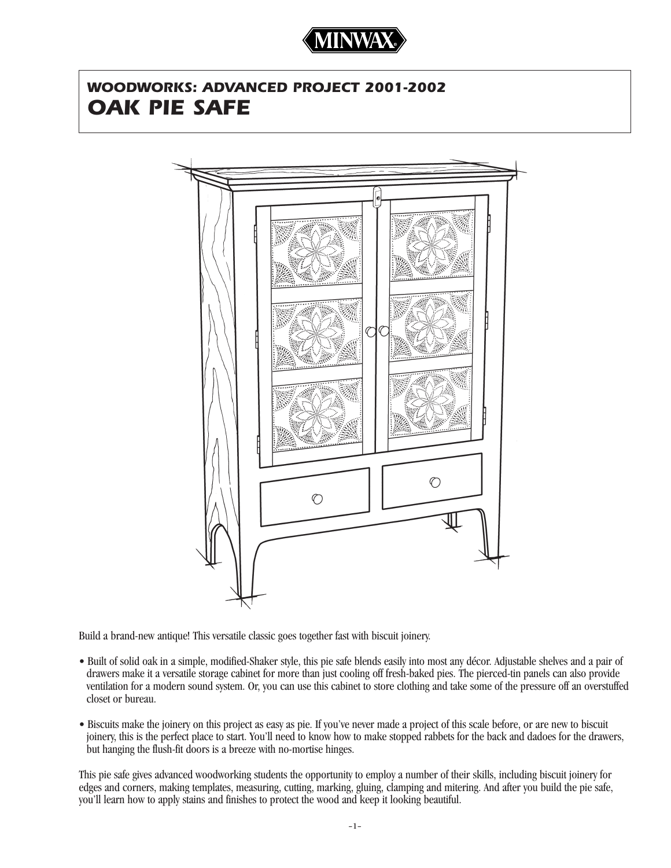

# *WOODWORKS: ADVANCED PROJECT 2001-2002 OAK PIE SAFE*



Build a brand-new antique! This versatile classic goes together fast with biscuit joinery.

- Built of solid oak in a simple, modified-Shaker style, this pie safe blends easily into most any décor. Adjustable shelves and a pair of drawers make it a versatile storage cabinet for more than just cooling off fresh-baked pies. The pierced-tin panels can also provide ventilation for a modern sound system. Or, you can use this cabinet to store clothing and take some of the pressure off an overstuffed closet or bureau.
- Biscuits make the joinery on this project as easy as pie. If you've never made a project of this scale before, or are new to biscuit joinery, this is the perfect place to start. You'll need to know how to make stopped rabbets for the back and dadoes for the drawers, but hanging the flush-fit doors is a breeze with no-mortise hinges.

This pie safe gives advanced woodworking students the opportunity to employ a number of their skills, including biscuit joinery for edges and corners, making templates, measuring, cutting, marking, gluing, clamping and mitering. And after you build the pie safe, you'll learn how to apply stains and finishes to protect the wood and keep it looking beautiful.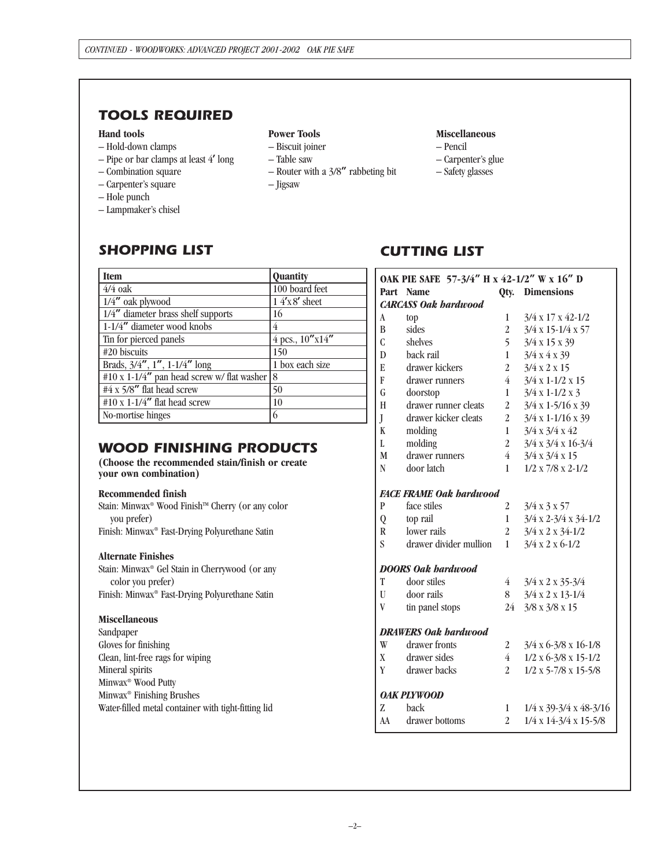## *TOOLS REQUIRED*

### **Hand tools**

- Hold-down clamps
- Pipe or bar clamps at least 4**'** long
- Combination square
- Carpenter's square
- Hole punch
- Lampmaker's chisel

#### **Power Tools**

- Biscuit joiner
- Table saw
- Router with a 3/8**"** rabbeting bit
- Jigsaw

## **Miscellaneous**

- Pencil
- Carpenter's glue
- Safety glasses

## *SHOPPING LIST*

| <b>Item</b>                                | <b>Quantity</b>       |
|--------------------------------------------|-----------------------|
| $4/4$ oak                                  | 100 board feet        |
| $1/4$ " oak plywood                        | $14'x8'$ sheet        |
| 1/4" diameter brass shelf supports         | 16                    |
| 1-1/4" diameter wood knobs                 | 4                     |
| Tin for pierced panels                     | $4$ pcs., $10''x14''$ |
| #20 biscuits                               | 150                   |
| Brads, $3/4''$ , $1''$ , $1-1/4''$ long    | 1 box each size       |
| #10 x 1-1/4" pan head screw w/ flat washer | 18                    |
| #4 x 5/8" flat head screw                  | 50                    |
| $\#10 \times 1$ -1/4" flat head screw      | 10                    |
| No-mortise hinges                          | 6                     |

## *WOOD FINISHING PRODUCTS*

**(Choose the recommended stain/finish or create your own combination)**

## **Recommended finish**

Stain: Minwax<sup>®</sup> Wood Finish™ Cherry (or any color you prefer) Finish: Minwax® Fast-Drying Polyurethane Satin

## **Alternate Finishes**

Stain: Minwax® Gel Stain in Cherrywood (or any color you prefer) Finish: Minwax® Fast-Drying Polyurethane Satin

## **Miscellaneous**

Sandpaper Gloves for finishing Clean, lint-free rags for wiping Mineral spirits Minwax® Wood Putty Minwax® Finishing Brushes Water-filled metal container with tight-fitting lid

# *CUTTING LIST*

| OAK PIE SAFE 57-3/4" H x 42-1/2" W x 16" D |                        |                |                                        |  |
|--------------------------------------------|------------------------|----------------|----------------------------------------|--|
|                                            | Part Name              | Qty.           | <b>Dimensions</b>                      |  |
| <b>CARCASS Oak hardwood</b>                |                        |                |                                        |  |
| A                                          | top                    | 1              | $3/4 \times 17 \times 42 - 1/2$        |  |
| B                                          | sides                  | $\overline{2}$ | $3/4 \times 15 - 1/4 \times 57$        |  |
| $\overline{C}$                             | shelves                | 5              | $3/4 \times 15 \times 39$              |  |
| D                                          | back rail              | $\mathbf{1}$   | 3/4 x 4 x 39                           |  |
| E                                          | drawer kickers         | $\overline{2}$ | 3/4 x 2 x 15                           |  |
| F                                          | drawer runners         | $\overline{4}$ | $3/4 \times 1 - 1/2 \times 15$         |  |
| G                                          | doorstop               | 1              | $3/4 \times 1 - 1/2 \times 3$          |  |
| H                                          | drawer runner cleats   | $\overline{2}$ | $3/4 \times 1 - 5/16 \times 39$        |  |
| J                                          | drawer kicker cleats   | $\overline{2}$ | $3/4 \times 1 - 1/16 \times 39$        |  |
| K                                          | molding                | 1              | $3/4 \times 3/4 \times 42$             |  |
| L                                          | molding                | $\overline{2}$ | $3/4 \times 3/4 \times 16 - 3/4$       |  |
| M                                          | drawer runners         | $\overline{4}$ | $3/4 \times 3/4 \times 15$             |  |
| N                                          | door latch             | 1              | $1/2 \times 7/8 \times 2 - 1/2$        |  |
| <b>FACE FRAME Oak hardwood</b>             |                        |                |                                        |  |
| $\mathbf{p}$                               | face stiles            | $\overline{2}$ | 3/4 x 3 x 57                           |  |
| Q                                          | top rail               | 1              | $3/4$ x 2-3/4 x 34-1/2                 |  |
| R                                          | lower rails            | $\overline{2}$ | $3/4 \times 2 \times 34 - 1/2$         |  |
| S                                          | drawer divider mullion | 1              | $3/4 \times 2 \times 6 - 1/2$          |  |
| <b>DOORS Oak hardwood</b>                  |                        |                |                                        |  |
| T                                          | door stiles            | 4              | $3/4$ x 2 x 35-3/4                     |  |
| $\mathbf{U}$                               | door rails             | 8              | $3/4$ x 2 x 13-1/4                     |  |
| V                                          | tin panel stops        | 24             | $3/8 \times 3/8 \times 15$             |  |
| <b>DRAWERS Oak hardwood</b>                |                        |                |                                        |  |
| W                                          | drawer fronts          | 2              | $3/4$ x 6-3/8 x 16-1/8                 |  |
| X                                          | drawer sides           | $\overline{4}$ | $1/2$ x 6-3/8 x 15-1/2                 |  |
| Y                                          | drawer backs           | $\overline{2}$ | $1/2$ x 5-7/8 x 15-5/8                 |  |
| <b>OAK PLYWOOD</b>                         |                        |                |                                        |  |
| Z                                          | back                   | 1              | $1/4 \times 39 - 3/4 \times 48 - 3/16$ |  |
| AA                                         | drawer bottoms         | $\overline{2}$ | 1/4 x 14-3/4 x 15-5/8                  |  |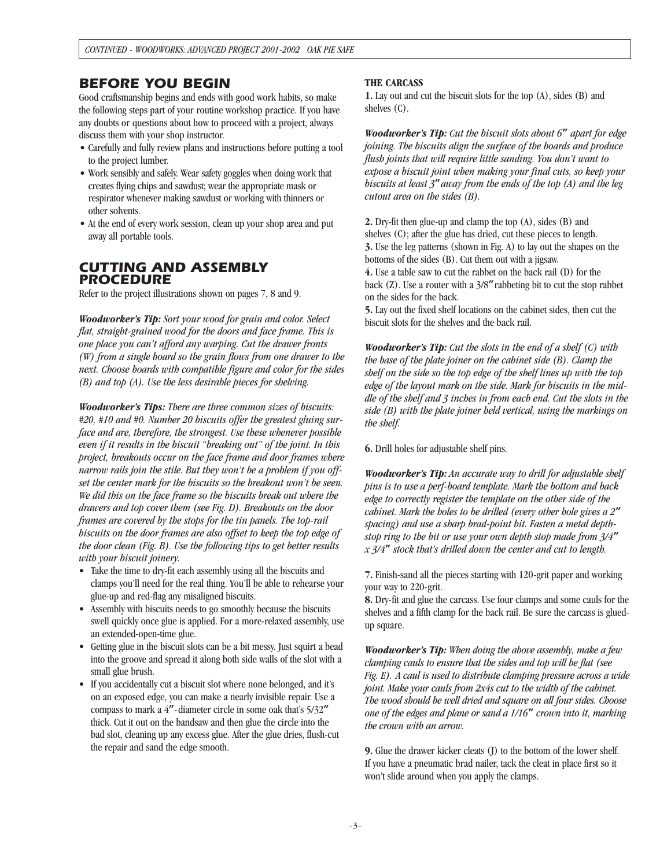## *BEFORE YOU BEGIN*

Good craftsmanship begins and ends with good work habits, so make the following steps part of your routine workshop practice. If you have any doubts or questions about how to proceed with a project, always discuss them with your shop instructor.

- Carefully and fully review plans and instructions before putting a tool to the project lumber.
- Work sensibly and safely. Wear safety goggles when doing work that creates flying chips and sawdust; wear the appropriate mask or respirator whenever making sawdust or working with thinners or other solvents.
- At the end of every work session, clean up your shop area and put away all portable tools.

## *CUTTING AND ASSEMBLY PROCEDURE*

Refer to the project illustrations shown on pages 7, 8 and 9.

*Woodworker's Tip: Sort your wood for grain and color. Select flat, straight-grained wood for the doors and face frame. This is one place you can't afford any warping. Cut the drawer fronts (W) from a single board so the grain flows from one drawer to the next. Choose boards with compatible figure and color for the sides (B) and top (A). Use the less desirable pieces for shelving.*

*Woodworker's Tips: There are three common sizes of biscuits: #20, #10 and #0. Number 20 biscuits offer the greatest gluing surface and are, therefore, the strongest. Use these whenever possible even if it results in the biscuit "breaking out" of the joint. In this project, breakouts occur on the face frame and door frames where narrow rails join the stile. But they won't be a problem if you offset the center mark for the biscuits so the breakout won't be seen. We did this on the face frame so the biscuits break out where the drawers and top cover them (see Fig. D). Breakouts on the door frames are covered by the stops for the tin panels. The top-rail biscuits on the door frames are also offset to keep the top edge of the door clean (Fig. B). Use the following tips to get better results with your biscuit joinery.*

- Take the time to dry-fit each assembly using all the biscuits and clamps you'll need for the real thing. You'll be able to rehearse your glue-up and red-flag any misaligned biscuits.
- Assembly with biscuits needs to go smoothly because the biscuits swell quickly once glue is applied. For a more-relaxed assembly, use an extended-open-time glue.
- Getting glue in the biscuit slots can be a bit messy. Just squirt a bead into the groove and spread it along both side walls of the slot with a small glue brush.
- If you accidentally cut a biscuit slot where none belonged, and it's on an exposed edge, you can make a nearly invisible repair. Use a compass to mark a 4**"**-diameter circle in some oak that's 5/32**"** thick. Cut it out on the bandsaw and then glue the circle into the bad slot, cleaning up any excess glue. After the glue dries, flush-cut the repair and sand the edge smooth.

#### **THE CARCASS**

**1.** Lay out and cut the biscuit slots for the top (A), sides (B) and shelves (C).

*Woodworker's Tip: Cut the biscuit slots about 6***"** *apart for edge joining. The biscuits align the surface of the boards and produce flush joints that will require little sanding. You don't want to expose a biscuit joint when making your final cuts, so keep your biscuits at least 3***"***away from the ends of the top (A) and the leg cutout area on the sides (B).* 

**2.** Dry-fit then glue-up and clamp the top (A), sides (B) and shelves (C); after the glue has dried, cut these pieces to length. **3.** Use the leg patterns (shown in Fig. A) to lay out the shapes on the bottoms of the sides (B). Cut them out with a jigsaw. **4.** Use a table saw to cut the rabbet on the back rail (D) for the back (Z). Use a router with a 3/8**"**rabbeting bit to cut the stop rabbet on the sides for the back.

**5.** Lay out the fixed shelf locations on the cabinet sides, then cut the biscuit slots for the shelves and the back rail.

*Woodworker's Tip: Cut the slots in the end of a shelf (C) with the base of the plate joiner on the cabinet side (B). Clamp the shelf on the side so the top edge of the shelf lines up with the top edge of the layout mark on the side. Mark for biscuits in the middle of the shelf and 3 inches in from each end. Cut the slots in the side (B) with the plate joiner held vertical, using the markings on the shelf.*

**6.** Drill holes for adjustable shelf pins.

*Woodworker's Tip: An accurate way to drill for adjustable shelf pins is to use a perf-board template. Mark the bottom and back edge to correctly register the template on the other side of the cabinet. Mark the holes to be drilled (every other hole gives a 2***"** *spacing) and use a sharp brad-point bit. Fasten a metal depthstop ring to the bit or use your own depth stop made from 3/4***"** *x 3/4***"** *stock that's drilled down the center and cut to length.*

**7.** Finish-sand all the pieces starting with 120-grit paper and working your way to 220-grit.

**8.** Dry-fit and glue the carcass. Use four clamps and some cauls for the shelves and a fifth clamp for the back rail. Be sure the carcass is gluedup square.

*Woodworker's Tip: When doing the above assembly, make a few clamping cauls to ensure that the sides and top will be flat (see Fig. E). A caul is used to distribute clamping pressure across a wide joint. Make your cauls from 2x4s cut to the width of the cabinet. The wood should be well dried and square on all four sides. Choose one of the edges and plane or sand a 1/16***"** *crown into it, marking the crown with an arrow.*

**9.** Glue the drawer kicker cleats (J) to the bottom of the lower shelf. If you have a pneumatic brad nailer, tack the cleat in place first so it won't slide around when you apply the clamps.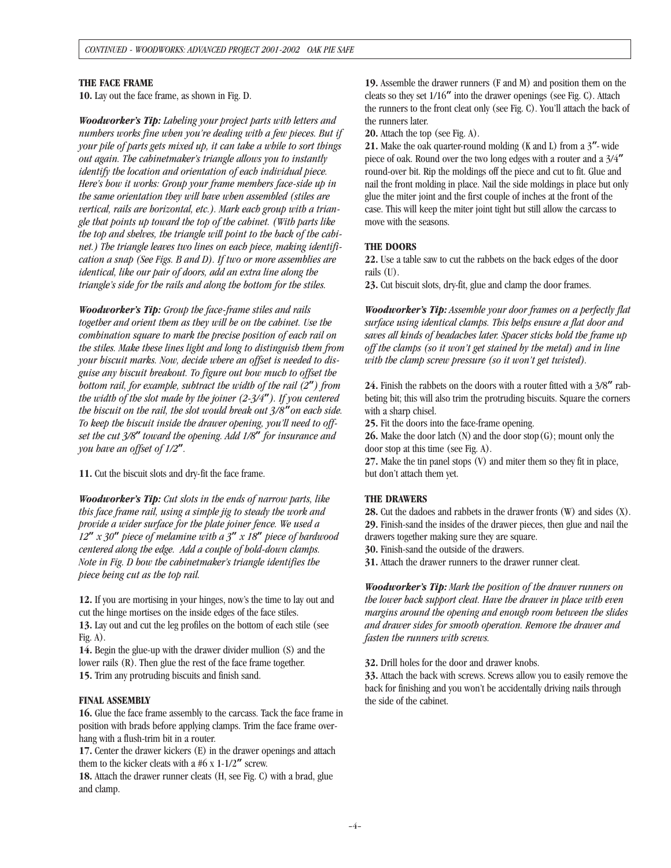#### **THE FACE FRAME**

**10.** Lay out the face frame, as shown in Fig. D.

*Woodworker's Tip: Labeling your project parts with letters and numbers works fine when you're dealing with a few pieces. But if your pile of parts gets mixed up, it can take a while to sort things out again. The cabinetmaker's triangle allows you to instantly identify the location and orientation of each individual piece. Here's how it works: Group your frame members face-side up in the same orientation they will have when assembled (stiles are vertical, rails are horizontal, etc.). Mark each group with a triangle that points up toward the top of the cabinet. (With parts like the top and shelves, the triangle will point to the back of the cabinet.) The triangle leaves two lines on each piece, making identification a snap (See Figs. B and D). If two or more assemblies are identical, like our pair of doors, add an extra line along the triangle's side for the rails and along the bottom for the stiles.*

*Woodworker's Tip: Group the face-frame stiles and rails together and orient them as they will be on the cabinet. Use the combination square to mark the precise position of each rail on the stiles. Make these lines light and long to distinguish them from your biscuit marks. Now, decide where an offset is needed to disguise any biscuit breakout. To figure out how much to offset the bottom rail, for example, subtract the width of the rail (2***"***) from the width of the slot made by the joiner (2-3/4***"***). If you centered the biscuit on the rail, the slot would break out 3/8***"***on each side. To keep the biscuit inside the drawer opening, you'll need to offset the cut 3/8***"** *toward the opening. Add 1/8***"** *for insurance and you have an offset of 1/2***"***.*

**11.** Cut the biscuit slots and dry-fit the face frame.

*Woodworker's Tip: Cut slots in the ends of narrow parts, like this face frame rail, using a simple jig to steady the work and provide a wider surface for the plate joiner fence. We used a 12***"** *x 30***"** *piece of melamine with a 3***"** *x 18***"** *piece of hardwood centered along the edge. Add a couple of hold-down clamps. Note in Fig. D how the cabinetmaker's triangle identifies the piece being cut as the top rail.*

**12.** If you are mortising in your hinges, now's the time to lay out and cut the hinge mortises on the inside edges of the face stiles.

**13.** Lay out and cut the leg profiles on the bottom of each stile (see Fig.  $A$ ).

**14.** Begin the glue-up with the drawer divider mullion (S) and the lower rails (R). Then glue the rest of the face frame together. **15.** Trim any protruding biscuits and finish sand.

#### **FINAL ASSEMBLY**

**16.** Glue the face frame assembly to the carcass. Tack the face frame in position with brads before applying clamps. Trim the face frame overhang with a flush-trim bit in a router.

**17.** Center the drawer kickers (E) in the drawer openings and attach them to the kicker cleats with a #6 x 1-1/2**"** screw.

**18.** Attach the drawer runner cleats (H, see Fig. C) with a brad, glue and clamp.

**19.** Assemble the drawer runners (F and M) and position them on the cleats so they set 1/16**"** into the drawer openings (see Fig. C). Attach the runners to the front cleat only (see Fig. C). You'll attach the back of the runners later.

**20.** Attach the top (see Fig. A).

**21.** Make the oak quarter-round molding (K and L) from a 3**"**- wide piece of oak. Round over the two long edges with a router and a 3/4**"** round-over bit. Rip the moldings off the piece and cut to fit. Glue and nail the front molding in place. Nail the side moldings in place but only glue the miter joint and the first couple of inches at the front of the case. This will keep the miter joint tight but still allow the carcass to move with the seasons.

### **THE DOORS**

**22.** Use a table saw to cut the rabbets on the back edges of the door rails (U).

**23.** Cut biscuit slots, dry-fit, glue and clamp the door frames.

*Woodworker's Tip: Assemble your door frames on a perfectly flat surface using identical clamps. This helps ensure a flat door and saves all kinds of headaches later. Spacer sticks hold the frame up off the clamps (so it won't get stained by the metal) and in line with the clamp screw pressure (so it won't get twisted).*

**24.** Finish the rabbets on the doors with a router fitted with a 3/8**"** rabbeting bit; this will also trim the protruding biscuits. Square the corners with a sharp chisel.

**25.** Fit the doors into the face-frame opening.

**26.** Make the door latch (N) and the door stop(G); mount only the door stop at this time (see Fig. A).

**27.** Make the tin panel stops (V) and miter them so they fit in place, but don't attach them yet.

#### **THE DRAWERS**

**28.** Cut the dadoes and rabbets in the drawer fronts (W) and sides (X). **29.** Finish-sand the insides of the drawer pieces, then glue and nail the drawers together making sure they are square.

**30.** Finish-sand the outside of the drawers.

**31.** Attach the drawer runners to the drawer runner cleat.

*Woodworker's Tip: Mark the position of the drawer runners on the lower back support cleat. Have the drawer in place with even margins around the opening and enough room between the slides and drawer sides for smooth operation. Remove the drawer and fasten the runners with screws.*

**32.** Drill holes for the door and drawer knobs.

**33.** Attach the back with screws. Screws allow you to easily remove the back for finishing and you won't be accidentally driving nails through the side of the cabinet.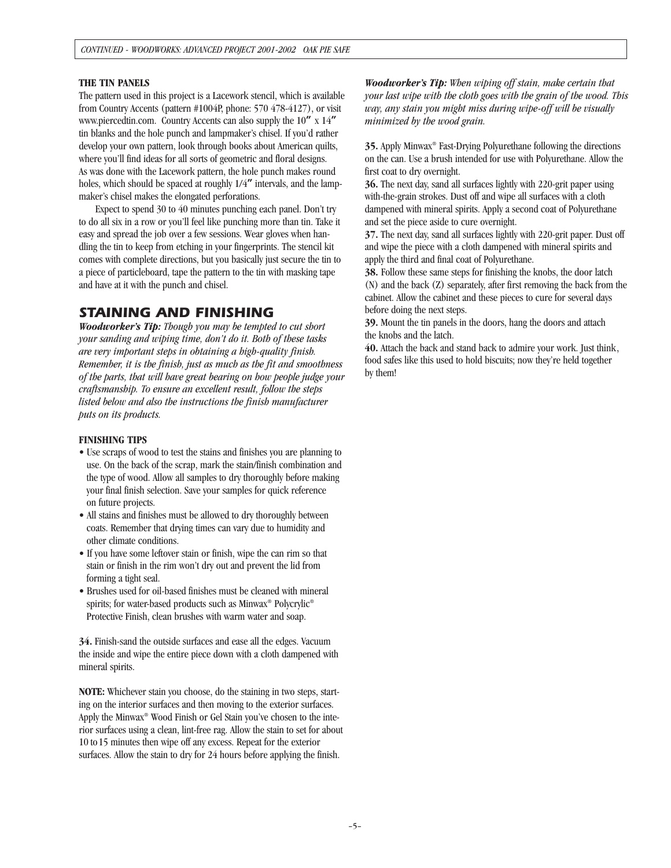#### **THE TIN PANELS**

The pattern used in this project is a Lacework stencil, which is available from Country Accents (pattern #1004P, phone: 570 478-4127), or visit www.piercedtin.com. Country Accents can also supply the 10**"** x 14**"** tin blanks and the hole punch and lampmaker's chisel. If you'd rather develop your own pattern, look through books about American quilts, where you'll find ideas for all sorts of geometric and floral designs. As was done with the Lacework pattern, the hole punch makes round holes, which should be spaced at roughly 1/4**"** intervals, and the lampmaker's chisel makes the elongated perforations.

Expect to spend 30 to 40 minutes punching each panel. Don't try to do all six in a row or you'll feel like punching more than tin. Take it easy and spread the job over a few sessions. Wear gloves when handling the tin to keep from etching in your fingerprints. The stencil kit comes with complete directions, but you basically just secure the tin to a piece of particleboard, tape the pattern to the tin with masking tape and have at it with the punch and chisel.

### *STAINING AND FINISHING*

*Woodworker's Tip: Though you may be tempted to cut short your sanding and wiping time, don't do it. Both of these tasks are very important steps in obtaining a high-quality finish. Remember, it is the finish, just as much as the fit and smoothness of the parts, that will have great bearing on how people judge your craftsmanship. To ensure an excellent result, follow the steps listed below and also the instructions the finish manufacturer puts on its products.*

#### **FINISHING TIPS**

- Use scraps of wood to test the stains and finishes you are planning to use. On the back of the scrap, mark the stain/finish combination and the type of wood. Allow all samples to dry thoroughly before making your final finish selection. Save your samples for quick reference on future projects.
- All stains and finishes must be allowed to dry thoroughly between coats. Remember that drying times can vary due to humidity and other climate conditions.
- If you have some leftover stain or finish, wipe the can rim so that stain or finish in the rim won't dry out and prevent the lid from forming a tight seal.
- Brushes used for oil-based finishes must be cleaned with mineral spirits; for water-based products such as Minwax® Polycrylic® Protective Finish, clean brushes with warm water and soap.

**34.** Finish-sand the outside surfaces and ease all the edges. Vacuum the inside and wipe the entire piece down with a cloth dampened with mineral spirits.

**NOTE:** Whichever stain you choose, do the staining in two steps, starting on the interior surfaces and then moving to the exterior surfaces. Apply the Minwax® Wood Finish or Gel Stain you've chosen to the interior surfaces using a clean, lint-free rag. Allow the stain to set for about 10 to15 minutes then wipe off any excess. Repeat for the exterior surfaces. Allow the stain to dry for 24 hours before applying the finish.

*Woodworker's Tip: When wiping off stain, make certain that your last wipe with the cloth goes with the grain of the wood. This way, any stain you might miss during wipe-off will be visually minimized by the wood grain.*

**35.** Apply Minwax® Fast-Drying Polyurethane following the directions on the can. Use a brush intended for use with Polyurethane. Allow the first coat to dry overnight.

**36.** The next day, sand all surfaces lightly with 220-grit paper using with-the-grain strokes. Dust off and wipe all surfaces with a cloth dampened with mineral spirits. Apply a second coat of Polyurethane and set the piece aside to cure overnight.

**37.** The next day, sand all surfaces lightly with 220-grit paper. Dust off and wipe the piece with a cloth dampened with mineral spirits and apply the third and final coat of Polyurethane.

**38.** Follow these same steps for finishing the knobs, the door latch (N) and the back (Z) separately, after first removing the back from the cabinet. Allow the cabinet and these pieces to cure for several days before doing the next steps.

**39.** Mount the tin panels in the doors, hang the doors and attach the knobs and the latch.

**40.** Attach the back and stand back to admire your work. Just think, food safes like this used to hold biscuits; now they're held together by them!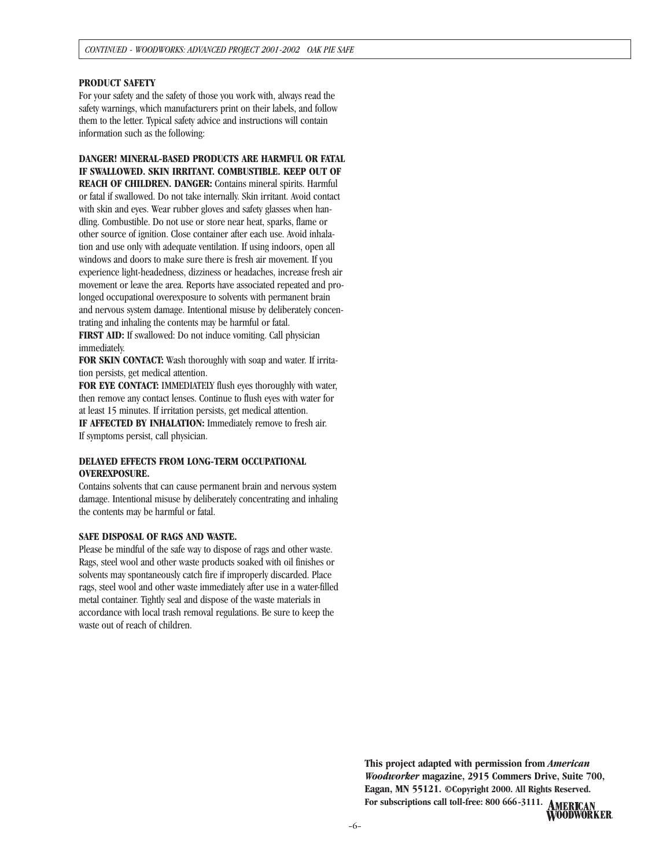#### **PRODUCT SAFETY**

For your safety and the safety of those you work with, always read the safety warnings, which manufacturers print on their labels, and follow them to the letter. Typical safety advice and instructions will contain information such as the following:

**DANGER! MINERAL-BASED PRODUCTS ARE HARMFUL OR FATAL IF SWALLOWED. SKIN IRRITANT. COMBUSTIBLE. KEEP OUT OF REACH OF CHILDREN. DANGER:** Contains mineral spirits. Harmful or fatal if swallowed. Do not take internally. Skin irritant. Avoid contact with skin and eyes. Wear rubber gloves and safety glasses when handling. Combustible. Do not use or store near heat, sparks, flame or other source of ignition. Close container after each use. Avoid inhalation and use only with adequate ventilation. If using indoors, open all windows and doors to make sure there is fresh air movement. If you experience light-headedness, dizziness or headaches, increase fresh air movement or leave the area. Reports have associated repeated and prolonged occupational overexposure to solvents with permanent brain and nervous system damage. Intentional misuse by deliberately concentrating and inhaling the contents may be harmful or fatal. **FIRST AID:** If swallowed: Do not induce vomiting. Call physician immediately.

**FOR SKIN CONTACT:** Wash thoroughly with soap and water. If irritation persists, get medical attention.

**FOR EYE CONTACT:** IMMEDIATELY flush eyes thoroughly with water, then remove any contact lenses. Continue to flush eyes with water for at least 15 minutes. If irritation persists, get medical attention.

**IF AFFECTED BY INHALATION:** Immediately remove to fresh air. If symptoms persist, call physician.

#### **DELAYED EFFECTS FROM LONG-TERM OCCUPATIONAL OVEREXPOSURE.**

Contains solvents that can cause permanent brain and nervous system damage. Intentional misuse by deliberately concentrating and inhaling the contents may be harmful or fatal.

#### **SAFE DISPOSAL OF RAGS AND WASTE.**

Please be mindful of the safe way to dispose of rags and other waste. Rags, steel wool and other waste products soaked with oil finishes or solvents may spontaneously catch fire if improperly discarded. Place rags, steel wool and other waste immediately after use in a water-filled metal container. Tightly seal and dispose of the waste materials in accordance with local trash removal regulations. Be sure to keep the waste out of reach of children.

> **This project adapted with permission from** *American Woodworker* **magazine, 2915 Commers Drive, Suite 700, Eagan, MN 55121. ©Copyright 2000. All Rights Reserved. For subscriptions call toll-free: 800 666-3111.**

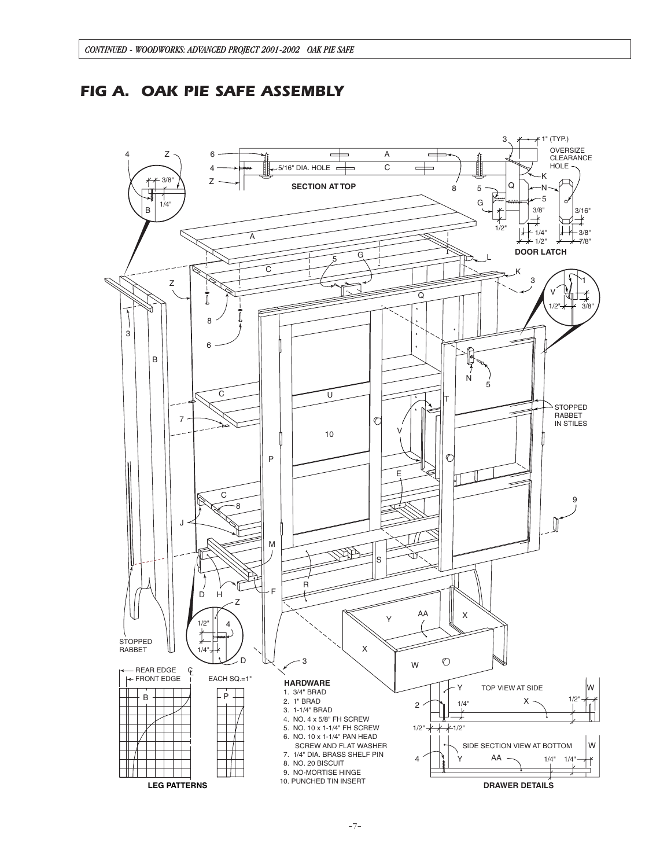## *FIG A. OAK PIE SAFE ASSEMBLY*

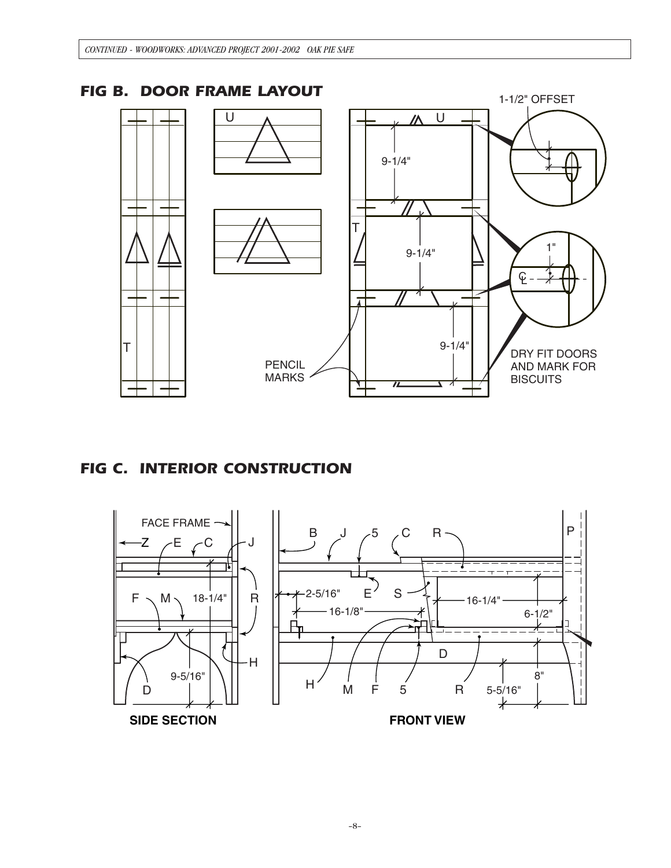

# *FIG C. INTERIOR CONSTRUCTION*



–8–